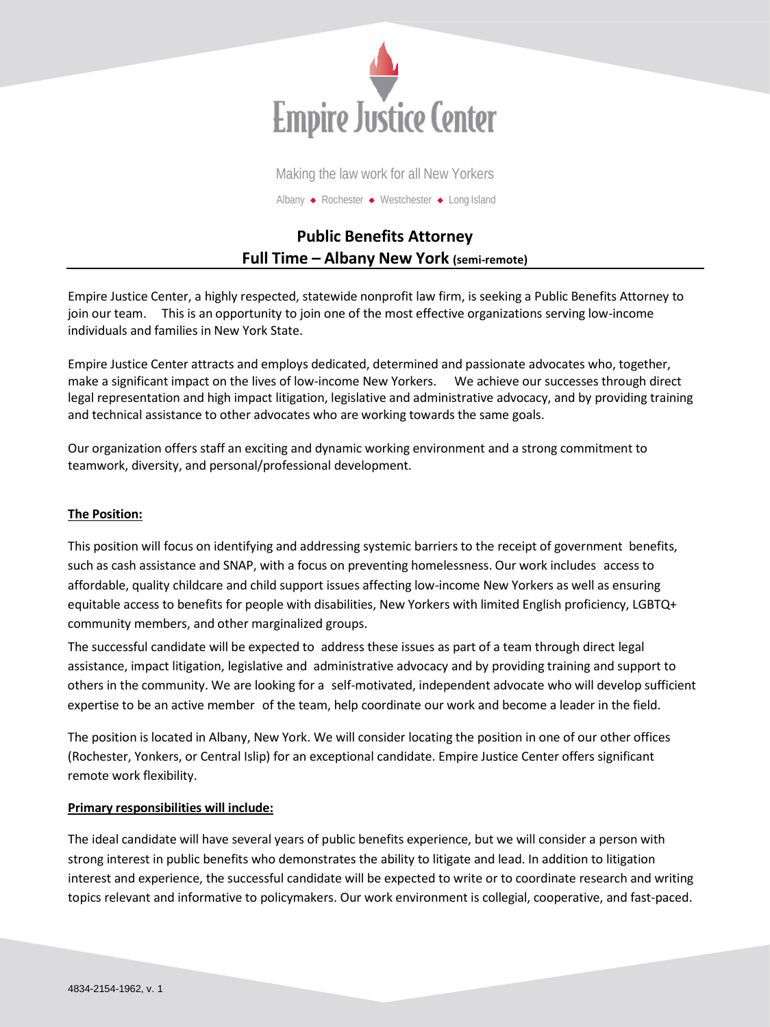

Making the law work for all New Yorkers Albany ◆ Rochester ◆ Westchester ◆ Long Island

# **Public Benefits Attorney Full Time – Albany New York (semi-remote)**

Empire Justice Center, a highly respected, statewide nonprofit law firm, is seeking a Public Benefits Attorney to join our team. This is an opportunity to join one of the most effective organizations serving low-income individuals and families in New York State.

Empire Justice Center attracts and employs dedicated, determined and passionate advocates who, together, make a significant impact on the lives of low-income New Yorkers. We achieve our successes through direct legal representation and high impact litigation, legislative and administrative advocacy, and by providing training and technical assistance to other advocates who are working towards the same goals.

Our organization offers staff an exciting and dynamic working environment and a strong commitment to teamwork, diversity, and personal/professional development.

# **The Position:**

This position will focus on identifying and addressing systemic barriers to the receipt of government benefits, such as cash assistance and SNAP, with a focus on preventing homelessness. Our work includes access to affordable, quality childcare and child support issues affecting low-income New Yorkers as well as ensuring equitable access to benefits for people with disabilities, New Yorkers with limited English proficiency, LGBTQ+ community members, and other marginalized groups.

The successful candidate will be expected to address these issues as part of a team through direct legal assistance, impact litigation, legislative and administrative advocacy and by providing training and support to others in the community. We are looking for a self-motivated, independent advocate who will develop sufficient expertise to be an active member of the team, help coordinate our work and become a leader in the field.

The position is located in Albany, New York. We will consider locating the position in one of our other offices (Rochester, Yonkers, or Central Islip) for an exceptional candidate. Empire Justice Center offers significant remote work flexibility.

# **Primary responsibilities will include:**

The ideal candidate will have several years of public benefits experience, but we will consider a person with strong interest in public benefits who demonstrates the ability to litigate and lead. In addition to litigation interest and experience, the successful candidate will be expected to write or to coordinate research and writing topics relevant and informative to policymakers. Our work environment is collegial, cooperative, and fast-paced.